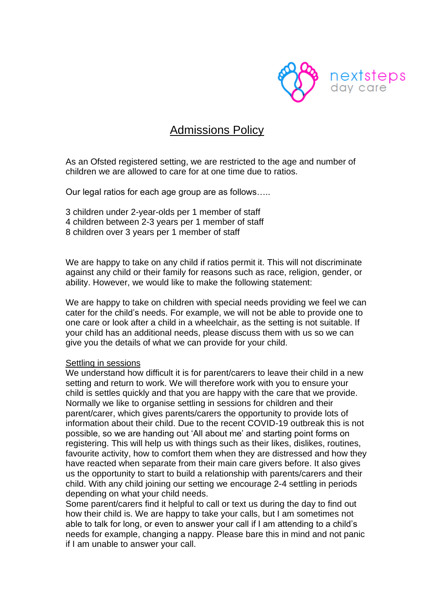

## Admissions Policy

As an Ofsted registered setting, we are restricted to the age and number of children we are allowed to care for at one time due to ratios.

Our legal ratios for each age group are as follows…..

3 children under 2-year-olds per 1 member of staff 4 children between 2-3 years per 1 member of staff 8 children over 3 years per 1 member of staff

We are happy to take on any child if ratios permit it. This will not discriminate against any child or their family for reasons such as race, religion, gender, or ability. However, we would like to make the following statement:

We are happy to take on children with special needs providing we feel we can cater for the child's needs. For example, we will not be able to provide one to one care or look after a child in a wheelchair, as the setting is not suitable. If your child has an additional needs, please discuss them with us so we can give you the details of what we can provide for your child.

## Settling in sessions

We understand how difficult it is for parent/carers to leave their child in a new setting and return to work. We will therefore work with you to ensure your child is settles quickly and that you are happy with the care that we provide. Normally we like to organise settling in sessions for children and their parent/carer, which gives parents/carers the opportunity to provide lots of information about their child. Due to the recent COVID-19 outbreak this is not possible, so we are handing out 'All about me' and starting point forms on registering. This will help us with things such as their likes, dislikes, routines, favourite activity, how to comfort them when they are distressed and how they have reacted when separate from their main care givers before. It also gives us the opportunity to start to build a relationship with parents/carers and their child. With any child joining our setting we encourage 2-4 settling in periods depending on what your child needs.

Some parent/carers find it helpful to call or text us during the day to find out how their child is. We are happy to take your calls, but I am sometimes not able to talk for long, or even to answer your call if I am attending to a child's needs for example, changing a nappy. Please bare this in mind and not panic if I am unable to answer your call.